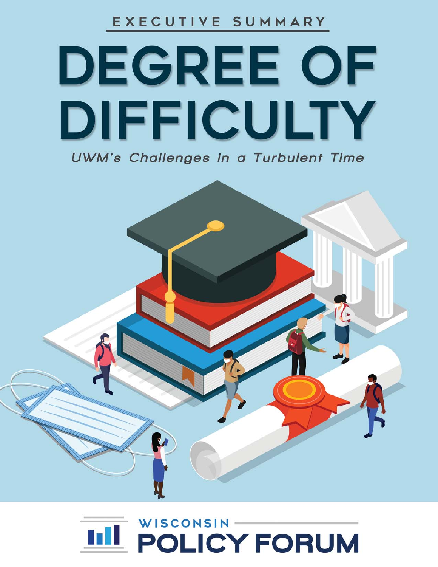EXECUTIVE SUMMARY

# DEGREE OF DIFFICULTY **UWM's Challenges in a Turbulent Time**



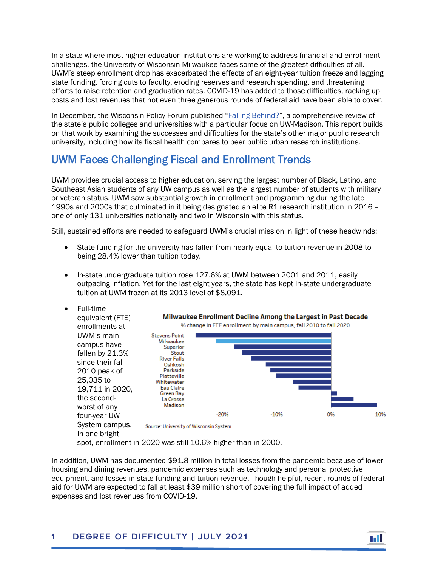In a state where most higher education institutions are working to address financial and enrollment challenges, the University of Wisconsin-Milwaukee faces some of the greatest difficulties of all. UWM's steep enrollment drop has exacerbated the effects of an eight-year tuition freeze and lagging state funding, forcing cuts to faculty, eroding reserves and research spending, and threatening efforts to raise retention and graduation rates. COVID-19 has added to those difficulties, racking up costs and lost revenues that not even three generous rounds of federal aid have been able to cover.

In December, the Wisconsin Policy Forum published ["Falling Behind?"](https://wispolicyforum.org/wp-content/uploads/2020/12/FallingBehind_FullReport-compressed.pdf), a comprehensive review of the state's public colleges and universities with a particular focus on UW-Madison. This report builds on that work by examining the successes and difficulties for the state's other major public research university, including how its fiscal health compares to peer public urban research institutions.

## UWM Faces Challenging Fiscal and Enrollment Trends

UWM provides crucial access to higher education, serving the largest number of Black, Latino, and Southeast Asian students of any UW campus as well as the largest number of students with military or veteran status. UWM saw substantial growth in enrollment and programming during the late 1990s and 2000s that culminated in it being designated an elite R1 research institution in 2016 – one of only 131 universities nationally and two in Wisconsin with this status.

Still, sustained efforts are needed to safeguard UWM's crucial mission in light of these headwinds:

- State funding for the university has fallen from nearly equal to tuition revenue in 2008 to being 28.4% lower than tuition today.
- In-state undergraduate tuition rose 127.6% at UWM between 2001 and 2011, easily outpacing inflation. Yet for the last eight years, the state has kept in-state undergraduate tuition at UWM frozen at its 2013 level of \$8,091.
- Full-time



spot, enrollment in 2020 was still 10.6% higher than in 2000.

In addition, UWM has documented \$91.8 million in total losses from the pandemic because of lower housing and dining revenues, pandemic expenses such as technology and personal protective equipment, and losses in state funding and tuition revenue. Though helpful, recent rounds of federal aid for UWM are expected to fall at least \$39 million short of covering the full impact of added expenses and lost revenues from COVID-19.

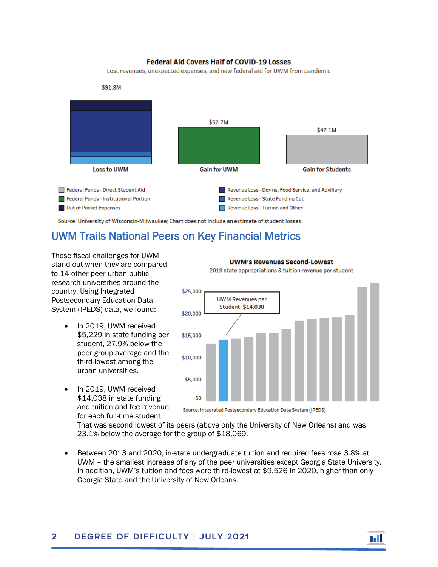#### **Federal Aid Covers Half of COVID-19 Losses**

Lost revenues, unexpected expenses, and new federal aid for UWM from pandemic



Source: University of Wisconsin-Milwaukee; Chart does not include an estimate of student losses.

## UWM Trails National Peers on Key Financial Metrics

These fiscal challenges for UWM stand out when they are compared to 14 other peer urban public research universities around the country. Using Integrated Postsecondary Education Data System (IPEDS) data, we found:

- In 2019, UWM received \$5,229 in state funding per student, 27.9% below the peer group average and the third-lowest among the urban universities.
- In 2019, UWM received \$14,038 in state funding and tuition and fee revenue for each full-time student.

#### **UWM's Revenues Second-Lowest**

2019 state appropriations & tuition revenue per student



mil

Source: Integrated Postsecondary Education Data System (IPEDS)

That was second lowest of its peers (above only the University of New Orleans) and was 23.1% below the average for the group of \$18,069.

• Between 2013 and 2020, in-state undergraduate tuition and required fees rose 3.8% at UWM – the smallest increase of any of the peer universities except Georgia State University. In addition, UWM's tuition and fees were third-lowest at \$9,526 in 2020, higher than only Georgia State and the University of New Orleans.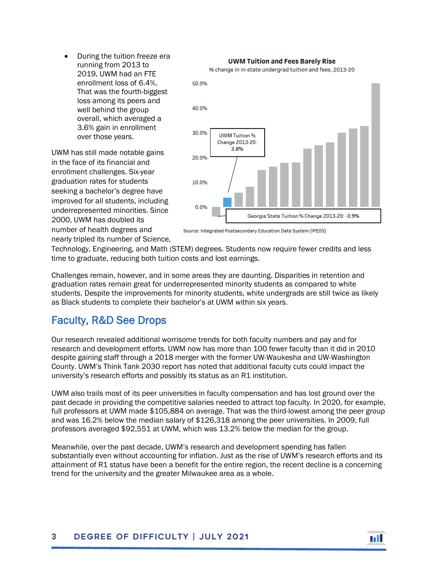• During the tuition freeze era running from 2013 to 2019, UWM had an FTE enrollment loss of 6.4%. That was the fourth-biggest loss among its peers and well behind the group overall, which averaged a 3.6% gain in enrollment over those years.

UWM has still made notable gains in the face of its financial and enrollment challenges. Six-year graduation rates for students seeking a bachelor's degree have improved for all students, including underrepresented minorities. Since 2000, UWM has doubled its number of health degrees and nearly tripled its number of Science,



Source: Integrated Postsecondary Education Data System (IPEDS)

Technology, Engineering, and Math (STEM) degrees. Students now require fewer credits and less time to graduate, reducing both tuition costs and lost earnings.

Challenges remain, however, and in some areas they are daunting. Disparities in retention and graduation rates remain great for underrepresented minority students as compared to white students. Despite the improvements for minority students, white undergrads are still twice as likely as Black students to complete their bachelor's at UWM within six years.

## Faculty, R&D See Drops

Our research revealed additional worrisome trends for both faculty numbers and pay and for research and development efforts. UWM now has more than 100 fewer faculty than it did in 2010 despite gaining staff through a 2018 merger with the former UW-Waukesha and UW-Washington County. UWM's Think Tank 2030 report has noted that additional faculty cuts could impact the university's research efforts and possibly its status as an R1 institution.

UWM also trails most of its peer universities in faculty compensation and has lost ground over the past decade in providing the competitive salaries needed to attract top faculty. In 2020, for example, full professors at UWM made \$105,884 on average. That was the third-lowest among the peer group and was 16.2% below the median salary of \$126,318 among the peer universities. In 2009, full professors averaged \$92,551 at UWM, which was 13.2% below the median for the group.

Meanwhile, over the past decade, UWM's research and development spending has fallen substantially even without accounting for inflation. Just as the rise of UWM's research efforts and its attainment of R1 status have been a benefit for the entire region, the recent decline is a concerning trend for the university and the greater Milwaukee area as a whole.

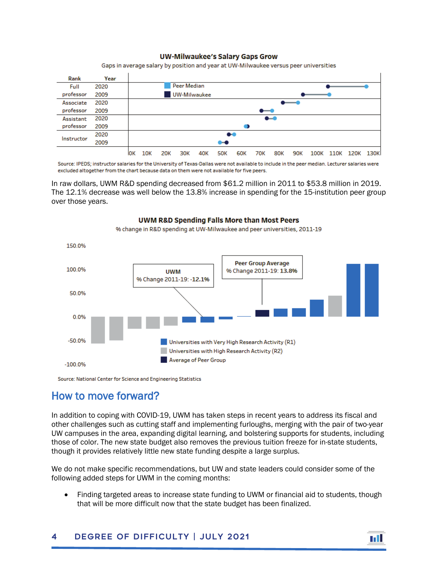#### **UW-Milwaukee's Salary Gaps Grow**

Gaps in average salary by position and year at UW-Milwaukee versus peer universities

| Rank       | Year |                  |                                                                                                                                                                                                                                                                                                                                                                                                                                                              |            |     |                 |            |            |     |            |            |      |      |      |      |  |
|------------|------|------------------|--------------------------------------------------------------------------------------------------------------------------------------------------------------------------------------------------------------------------------------------------------------------------------------------------------------------------------------------------------------------------------------------------------------------------------------------------------------|------------|-----|-----------------|------------|------------|-----|------------|------------|------|------|------|------|--|
| Full       | 2020 | Peer Median      |                                                                                                                                                                                                                                                                                                                                                                                                                                                              |            |     |                 |            |            |     |            |            |      |      |      |      |  |
| professor  | 2009 | UW-Milwaukee     |                                                                                                                                                                                                                                                                                                                                                                                                                                                              |            |     |                 |            |            |     |            |            |      |      |      |      |  |
| Associate  | 2020 |                  | -                                                                                                                                                                                                                                                                                                                                                                                                                                                            |            |     |                 |            |            |     |            |            |      |      |      |      |  |
| professor  | 2009 |                  | $\bullet\hspace{-4pt}-\hspace{-4pt}\bullet\hspace{-4pt}$                                                                                                                                                                                                                                                                                                                                                                                                     |            |     |                 |            |            |     |            |            |      |      |      |      |  |
| Assistant  | 2020 |                  | $\bullet\hspace{-4pt}-\hspace{-4pt}-\hspace{-4pt}-\hspace{-4pt}-\hspace{-4pt}-\hspace{-4pt}-\hspace{-4pt}-\hspace{-4pt}-\hspace{-4pt}-\hspace{-4pt}-\hspace{-4pt}-\hspace{-4pt}-\hspace{-4pt}-\hspace{-4pt}-\hspace{-4pt}-\hspace{-4pt}-\hspace{-4pt}-\hspace{-4pt}-\hspace{-4pt}-\hspace{-4pt}-\hspace{-4pt}-\hspace{-4pt}-\hspace{-4pt}-\hspace{-4pt}-\hspace{-4pt}-\hspace{-4pt}-\hspace{-4pt}-\hspace{-4pt}-\hspace{-4pt}-\hspace{-4pt}-\hspace{-4pt}-\$ |            |     |                 |            |            |     |            |            |      |      |      |      |  |
| professor  | 2009 |                  |                                                                                                                                                                                                                                                                                                                                                                                                                                                              |            |     |                 |            |            |     |            |            |      |      |      |      |  |
| Instructor | 2020 | $\bullet\bullet$ |                                                                                                                                                                                                                                                                                                                                                                                                                                                              |            |     |                 |            |            |     |            |            |      |      |      |      |  |
|            | 2009 |                  | $\bullet\hspace{-4pt}\bullet\hspace{-4pt}$                                                                                                                                                                                                                                                                                                                                                                                                                   |            |     |                 |            |            |     |            |            |      |      |      |      |  |
|            |      | ЮK               | 10K                                                                                                                                                                                                                                                                                                                                                                                                                                                          | <b>20K</b> | 30K | 40 <sub>K</sub> | <b>50K</b> | <b>60K</b> | 70К | <b>80K</b> | <b>90K</b> | 100K | 110K | 120K | 130K |  |

Source: IPEDS; instructor salaries for the University of Texas-Dallas were not available to include in the peer median. Lecturer salaries were excluded altogether from the chart because data on them were not available for five peers.

In raw dollars, UWM R&D spending decreased from \$61.2 million in 2011 to \$53.8 million in 2019. The 12.1% decrease was well below the 13.8% increase in spending for the 15-institution peer group over those years.

> UWM R&D Spending Falls More than Most Peers % change in R&D spending at UW-Milwaukee and peer universities, 2011-19

### 150.0% **Peer Group Average** 100.0% % Change 2011-19: 13.8% **UWM** % Change 2011-19: -12.1% 50.0% 0.0%  $-50.0%$ Universities with Very High Research Activity (R1) Universities with High Research Activity (R2) Average of Peer Group  $-100.0%$

Source: National Center for Science and Engineering Statistics

## How to move forward?

In addition to coping with COVID-19, UWM has taken steps in recent years to address its fiscal and other challenges such as cutting staff and implementing furloughs, merging with the pair of two-year UW campuses in the area, expanding digital learning, and bolstering supports for students, including those of color. The new state budget also removes the previous tuition freeze for in-state students, though it provides relatively little new state funding despite a large surplus.

We do not make specific recommendations, but UW and state leaders could consider some of the following added steps for UWM in the coming months:

• Finding targeted areas to increase state funding to UWM or financial aid to students, though that will be more difficult now that the state budget has been finalized.

#### 4 Degree of Difficulty | July 2021